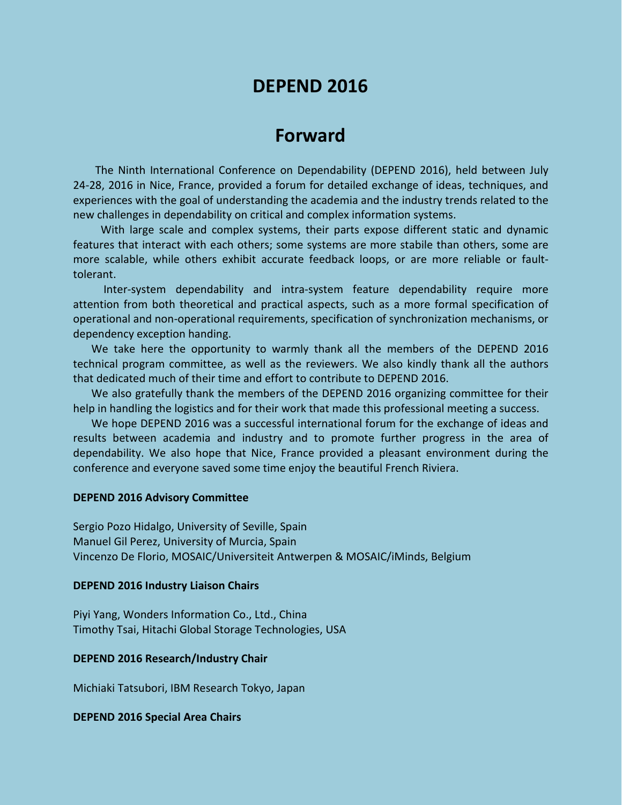# **DEPEND 2016**

# **Forward**

The Ninth International Conference on Dependability (DEPEND 2016), held between July 24-28, 2016 in Nice, France, provided a forum for detailed exchange of ideas, techniques, and experiences with the goal of understanding the academia and the industry trends related to the new challenges in dependability on critical and complex information systems.

With large scale and complex systems, their parts expose different static and dynamic features that interact with each others; some systems are more stabile than others, some are more scalable, while others exhibit accurate feedback loops, or are more reliable or faulttolerant.

Inter-system dependability and intra-system feature dependability require more attention from both theoretical and practical aspects, such as a more formal specification of operational and non-operational requirements, specification of synchronization mechanisms, or dependency exception handing.

We take here the opportunity to warmly thank all the members of the DEPEND 2016 technical program committee, as well as the reviewers. We also kindly thank all the authors that dedicated much of their time and effort to contribute to DEPEND 2016.

We also gratefully thank the members of the DEPEND 2016 organizing committee for their help in handling the logistics and for their work that made this professional meeting a success.

We hope DEPEND 2016 was a successful international forum for the exchange of ideas and results between academia and industry and to promote further progress in the area of dependability. We also hope that Nice, France provided a pleasant environment during the conference and everyone saved some time enjoy the beautiful French Riviera.

## **DEPEND 2016 Advisory Committee**

Sergio Pozo Hidalgo, University of Seville, Spain Manuel Gil Perez, University of Murcia, Spain Vincenzo De Florio, MOSAIC/Universiteit Antwerpen & MOSAIC/iMinds, Belgium

#### **DEPEND 2016 Industry Liaison Chairs**

Piyi Yang, Wonders Information Co., Ltd., China Timothy Tsai, Hitachi Global Storage Technologies, USA

### **DEPEND 2016 Research/Industry Chair**

Michiaki Tatsubori, IBM Research Tokyo, Japan

### **DEPEND 2016 Special Area Chairs**